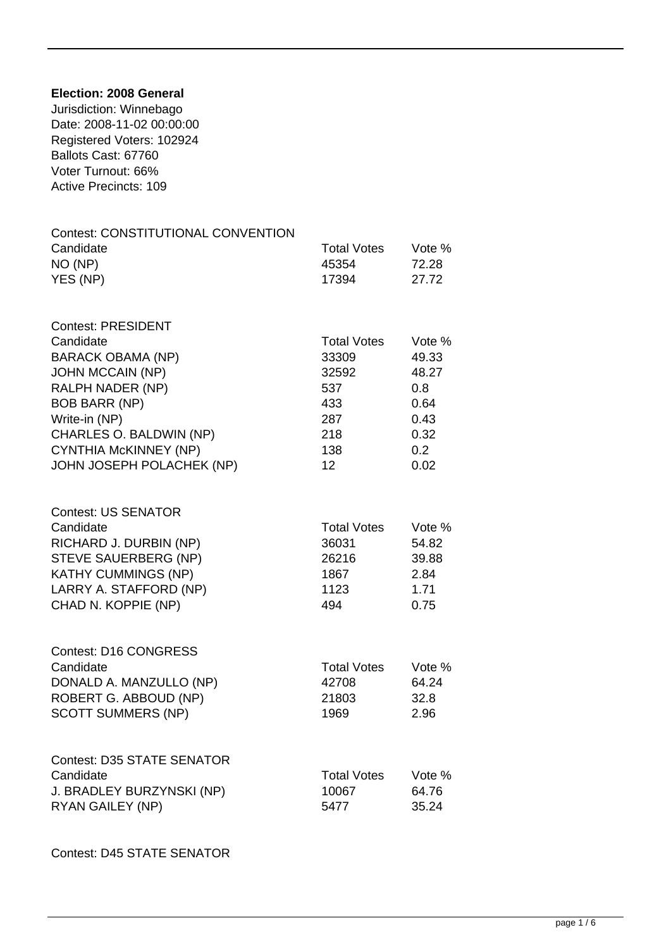## **Election: 2008 General**

Jurisdiction: Winnebago Date: 2008-11-02 00:00:00 Registered Voters: 102924 Ballots Cast: 67760 Voter Turnout: 66% Active Precincts: 109

| <b>Contest: CONSTITUTIONAL CONVENTION</b><br>Candidate<br>NO (NP)<br>YES (NP)                                                                                                                                                                      | <b>Total Votes</b><br>45354<br>17394                                                       | Vote %<br>72.28<br>27.72                                               |
|----------------------------------------------------------------------------------------------------------------------------------------------------------------------------------------------------------------------------------------------------|--------------------------------------------------------------------------------------------|------------------------------------------------------------------------|
| <b>Contest: PRESIDENT</b><br>Candidate<br><b>BARACK OBAMA (NP)</b><br><b>JOHN MCCAIN (NP)</b><br>RALPH NADER (NP)<br><b>BOB BARR (NP)</b><br>Write-in (NP)<br>CHARLES O. BALDWIN (NP)<br><b>CYNTHIA McKINNEY (NP)</b><br>JOHN JOSEPH POLACHEK (NP) | <b>Total Votes</b><br>33309<br>32592<br>537<br>433<br>287<br>218<br>138<br>12 <sup>2</sup> | Vote %<br>49.33<br>48.27<br>0.8<br>0.64<br>0.43<br>0.32<br>0.2<br>0.02 |
| <b>Contest: US SENATOR</b><br>Candidate<br>RICHARD J. DURBIN (NP)<br>STEVE SAUERBERG (NP)<br><b>KATHY CUMMINGS (NP)</b><br>LARRY A. STAFFORD (NP)<br>CHAD N. KOPPIE (NP)                                                                           | <b>Total Votes</b><br>36031<br>26216<br>1867<br>1123<br>494                                | Vote %<br>54.82<br>39.88<br>2.84<br>1.71<br>0.75                       |
| <b>Contest: D16 CONGRESS</b><br>Candidate<br>DONALD A. MANZULLO (NP)<br>ROBERT G. ABBOUD (NP)<br><b>SCOTT SUMMERS (NP)</b>                                                                                                                         | <b>Total Votes</b><br>42708<br>21803<br>1969                                               | Vote %<br>64.24<br>32.8<br>2.96                                        |
| <b>Contest: D35 STATE SENATOR</b><br>Candidate<br>J. BRADLEY BURZYNSKI (NP)<br>RYAN GAILEY (NP)                                                                                                                                                    | <b>Total Votes</b><br>10067<br>5477                                                        | Vote %<br>64.76<br>35.24                                               |

Contest: D45 STATE SENATOR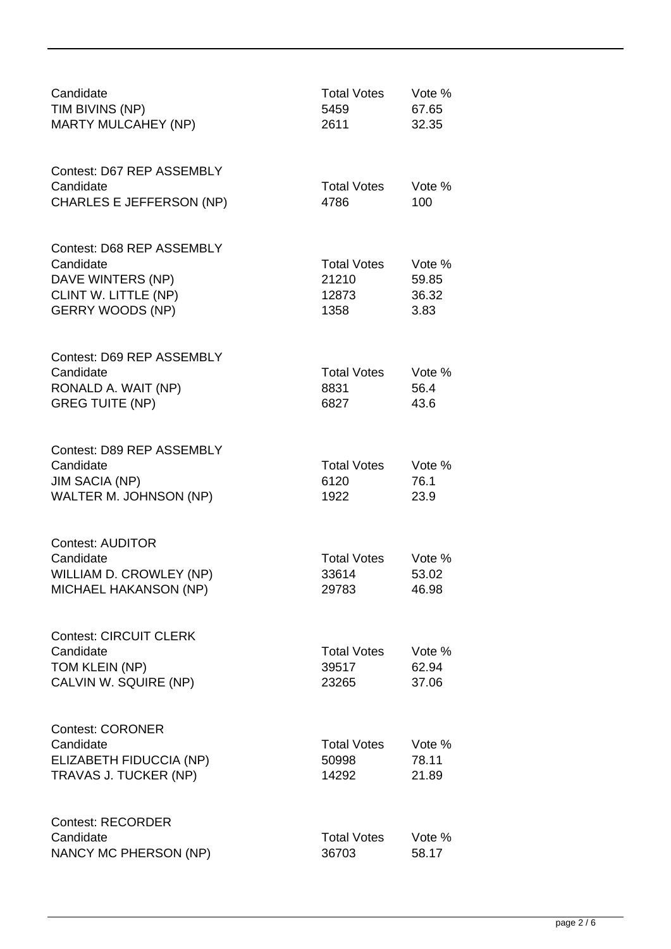| Candidate<br>TIM BIVINS (NP)<br><b>MARTY MULCAHEY (NP)</b>                                                     | <b>Total Votes</b><br>5459<br>2611           | Vote %<br>67.65<br>32.35         |
|----------------------------------------------------------------------------------------------------------------|----------------------------------------------|----------------------------------|
| Contest: D67 REP ASSEMBLY<br>Candidate<br><b>CHARLES E JEFFERSON (NP)</b>                                      | <b>Total Votes</b><br>4786                   | Vote %<br>100                    |
| Contest: D68 REP ASSEMBLY<br>Candidate<br>DAVE WINTERS (NP)<br>CLINT W. LITTLE (NP)<br><b>GERRY WOODS (NP)</b> | <b>Total Votes</b><br>21210<br>12873<br>1358 | Vote %<br>59.85<br>36.32<br>3.83 |
| Contest: D69 REP ASSEMBLY<br>Candidate<br>RONALD A. WAIT (NP)<br><b>GREG TUITE (NP)</b>                        | <b>Total Votes</b><br>8831<br>6827           | Vote %<br>56.4<br>43.6           |
| Contest: D89 REP ASSEMBLY<br>Candidate<br><b>JIM SACIA (NP)</b><br>WALTER M. JOHNSON (NP)                      | <b>Total Votes</b><br>6120<br>1922           | Vote %<br>76.1<br>23.9           |
| <b>Contest: AUDITOR</b><br>Candidate<br>WILLIAM D. CROWLEY (NP)<br><b>MICHAEL HAKANSON (NP)</b>                | <b>Total Votes</b><br>33614<br>29783         | Vote %<br>53.02<br>46.98         |
| <b>Contest: CIRCUIT CLERK</b><br>Candidate<br>TOM KLEIN (NP)<br>CALVIN W. SQUIRE (NP)                          | <b>Total Votes</b><br>39517<br>23265         | Vote %<br>62.94<br>37.06         |
| <b>Contest: CORONER</b><br>Candidate<br>ELIZABETH FIDUCCIA (NP)<br>TRAVAS J. TUCKER (NP)                       | <b>Total Votes</b><br>50998<br>14292         | Vote %<br>78.11<br>21.89         |
| <b>Contest: RECORDER</b><br>Candidate<br>NANCY MC PHERSON (NP)                                                 | <b>Total Votes</b><br>36703                  | Vote %<br>58.17                  |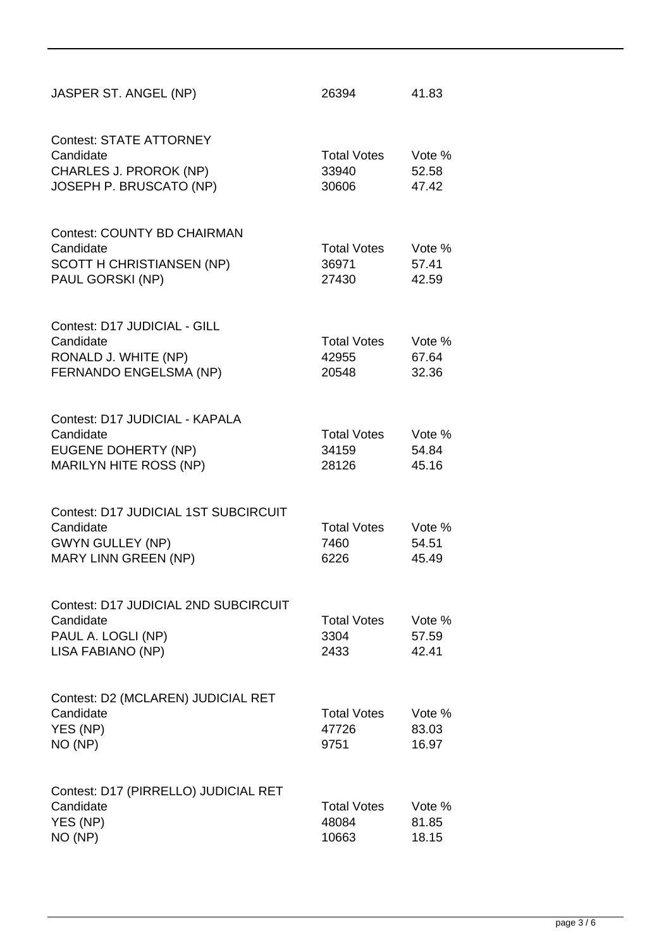| JASPER ST. ANGEL (NP)                                                                                | 26394                                | 41.83                    |
|------------------------------------------------------------------------------------------------------|--------------------------------------|--------------------------|
| <b>Contest: STATE ATTORNEY</b><br>Candidate<br>CHARLES J. PROROK (NP)<br>JOSEPH P. BRUSCATO (NP)     | <b>Total Votes</b><br>33940<br>30606 | Vote %<br>52.58<br>47.42 |
| <b>Contest: COUNTY BD CHAIRMAN</b><br>Candidate<br>SCOTT H CHRISTIANSEN (NP)<br>PAUL GORSKI (NP)     | <b>Total Votes</b><br>36971<br>27430 | Vote %<br>57.41<br>42.59 |
| Contest: D17 JUDICIAL - GILL<br>Candidate<br>RONALD J. WHITE (NP)<br>FERNANDO ENGELSMA (NP)          | <b>Total Votes</b><br>42955<br>20548 | Vote %<br>67.64<br>32.36 |
| Contest: D17 JUDICIAL - KAPALA<br>Candidate<br>EUGENE DOHERTY (NP)<br><b>MARILYN HITE ROSS (NP)</b>  | <b>Total Votes</b><br>34159<br>28126 | Vote %<br>54.84<br>45.16 |
| Contest: D17 JUDICIAL 1ST SUBCIRCUIT<br>Candidate<br><b>GWYN GULLEY (NP)</b><br>MARY LINN GREEN (NP) | <b>Total Votes</b><br>7460<br>6226   | Vote %<br>54.51<br>45.49 |
| Contest: D17 JUDICIAL 2ND SUBCIRCUIT<br>Candidate<br>PAUL A. LOGLI (NP)<br>LISA FABIANO (NP)         | <b>Total Votes</b><br>3304<br>2433   | Vote %<br>57.59<br>42.41 |
| Contest: D2 (MCLAREN) JUDICIAL RET<br>Candidate<br>YES (NP)<br>NO (NP)                               | <b>Total Votes</b><br>47726<br>9751  | Vote %<br>83.03<br>16.97 |
| Contest: D17 (PIRRELLO) JUDICIAL RET<br>Candidate<br>YES (NP)<br>NO (NP)                             | <b>Total Votes</b><br>48084<br>10663 | Vote %<br>81.85<br>18.15 |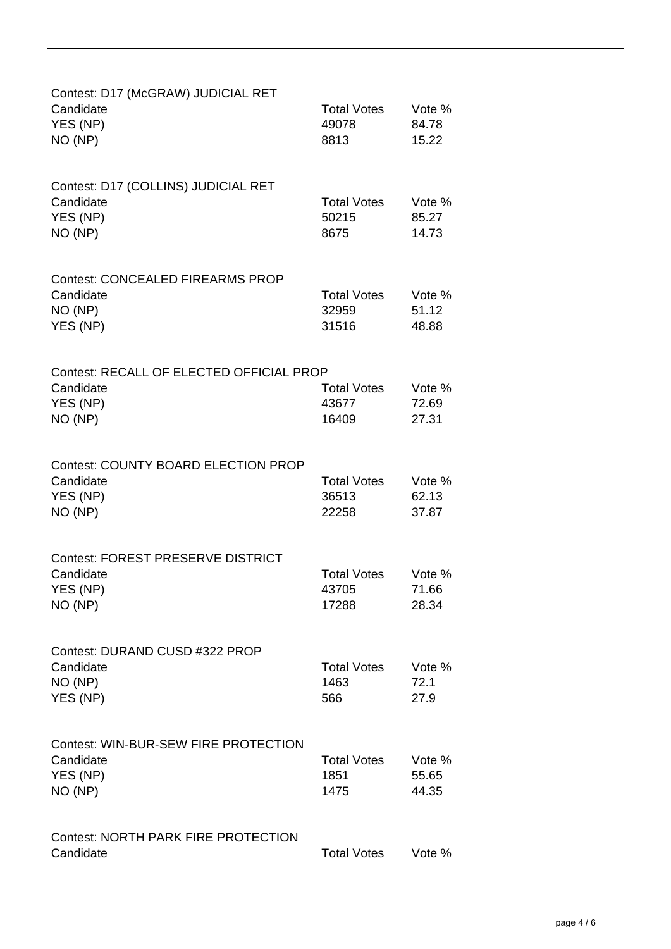| Contest: D17 (McGRAW) JUDICIAL RET<br>Candidate<br>YES (NP)<br>NO (NP)         | <b>Total Votes</b><br>49078<br>8813  | Vote %<br>84.78<br>15.22 |
|--------------------------------------------------------------------------------|--------------------------------------|--------------------------|
| Contest: D17 (COLLINS) JUDICIAL RET<br>Candidate<br>YES (NP)<br>NO (NP)        | <b>Total Votes</b><br>50215<br>8675  | Vote %<br>85.27<br>14.73 |
| <b>Contest: CONCEALED FIREARMS PROP</b><br>Candidate<br>NO (NP)<br>YES (NP)    | <b>Total Votes</b><br>32959<br>31516 | Vote %<br>51.12<br>48.88 |
| Contest: RECALL OF ELECTED OFFICIAL PROP<br>Candidate<br>YES (NP)<br>NO (NP)   | <b>Total Votes</b><br>43677<br>16409 | Vote %<br>72.69<br>27.31 |
| <b>Contest: COUNTY BOARD ELECTION PROP</b><br>Candidate<br>YES (NP)<br>NO (NP) | <b>Total Votes</b><br>36513<br>22258 | Vote %<br>62.13<br>37.87 |
| <b>Contest: FOREST PRESERVE DISTRICT</b><br>Candidate<br>YES (NP)<br>NO (NP)   | <b>Total Votes</b><br>43705<br>17288 | Vote %<br>71.66<br>28.34 |
| Contest: DURAND CUSD #322 PROP<br>Candidate<br>NO (NP)<br>YES (NP)             | <b>Total Votes</b><br>1463<br>566    | Vote %<br>72.1<br>27.9   |
| Contest: WIN-BUR-SEW FIRE PROTECTION<br>Candidate<br>YES (NP)<br>NO (NP)       | <b>Total Votes</b><br>1851<br>1475   | Vote %<br>55.65<br>44.35 |
| <b>Contest: NORTH PARK FIRE PROTECTION</b><br>Candidate                        | <b>Total Votes</b>                   | Vote %                   |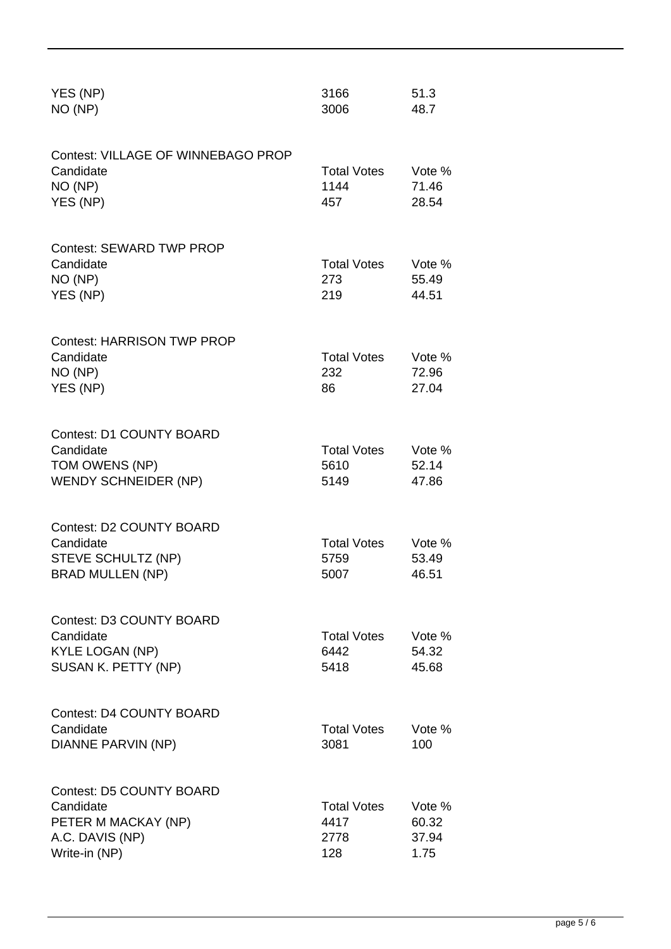| YES (NP)<br>NO (NP)                                                                                     | 3166<br>3006                              | 51.3<br>48.7                     |
|---------------------------------------------------------------------------------------------------------|-------------------------------------------|----------------------------------|
| Contest: VILLAGE OF WINNEBAGO PROP<br>Candidate<br>NO (NP)<br>YES (NP)                                  | <b>Total Votes</b><br>1144<br>457         | Vote %<br>71.46<br>28.54         |
| <b>Contest: SEWARD TWP PROP</b><br>Candidate<br>NO (NP)<br>YES (NP)                                     | <b>Total Votes</b><br>273<br>219          | Vote %<br>55.49<br>44.51         |
| <b>Contest: HARRISON TWP PROP</b><br>Candidate<br>NO (NP)<br>YES (NP)                                   | <b>Total Votes</b><br>232<br>86           | Vote %<br>72.96<br>27.04         |
| <b>Contest: D1 COUNTY BOARD</b><br>Candidate<br>TOM OWENS (NP)<br><b>WENDY SCHNEIDER (NP)</b>           | <b>Total Votes</b><br>5610<br>5149        | Vote %<br>52.14<br>47.86         |
| <b>Contest: D2 COUNTY BOARD</b><br>Candidate<br>STEVE SCHULTZ (NP)<br><b>BRAD MULLEN (NP)</b>           | <b>Total Votes</b><br>5759<br>5007        | Vote %<br>53.49<br>46.51         |
| Contest: D3 COUNTY BOARD<br>Candidate<br><b>KYLE LOGAN (NP)</b><br>SUSAN K. PETTY (NP)                  | <b>Total Votes</b><br>6442<br>5418        | Vote %<br>54.32<br>45.68         |
| <b>Contest: D4 COUNTY BOARD</b><br>Candidate<br>DIANNE PARVIN (NP)                                      | <b>Total Votes</b><br>3081                | Vote %<br>100                    |
| <b>Contest: D5 COUNTY BOARD</b><br>Candidate<br>PETER M MACKAY (NP)<br>A.C. DAVIS (NP)<br>Write-in (NP) | <b>Total Votes</b><br>4417<br>2778<br>128 | Vote %<br>60.32<br>37.94<br>1.75 |